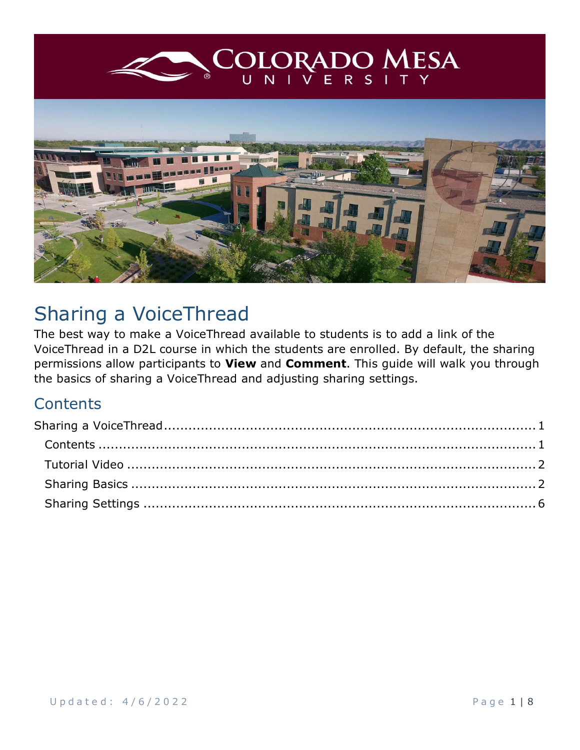<span id="page-0-0"></span>

# Sharing a VoiceThread

The best way to make a VoiceThread available to students is to add a link of the VoiceThread in a D2L course in which the students are enrolled. By default, the sharing permissions allow participants to **View** and **Comment**. This guide will walk you through the basics of sharing a VoiceThread and adjusting sharing settings.

### <span id="page-0-1"></span>**Contents**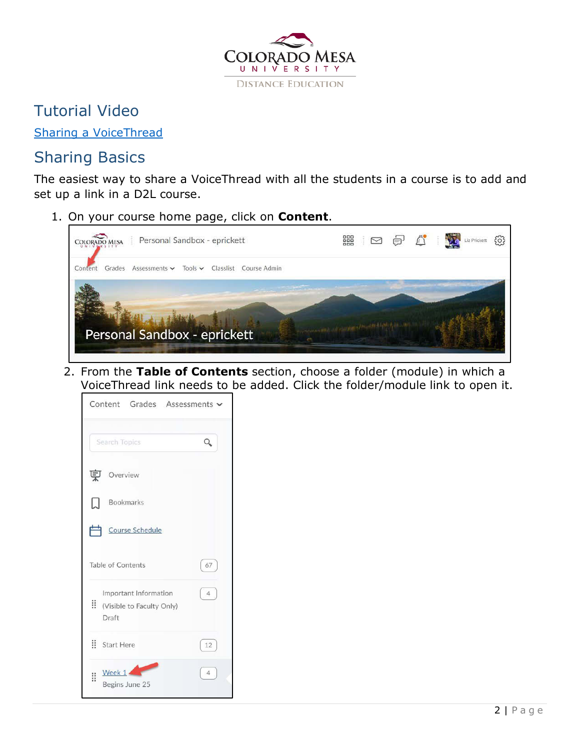

### <span id="page-1-0"></span>Tutorial Video

[Sharing a VoiceThread](https://coloradomesa.hosted.panopto.com/Panopto/Pages/Viewer.aspx?id=cb23cd82-e62b-405a-98f8-ae390139773f)

## <span id="page-1-1"></span>Sharing Basics

The easiest way to share a VoiceThread with all the students in a course is to add and set up a link in a D2L course.

1. On your course home page, click on **Content**.



2. From the **Table of Contents** section, choose a folder (module) in which a VoiceThread link needs to be added. Click the folder/module link to open it.

|    | Content Grades Assessments                                  |                |
|----|-------------------------------------------------------------|----------------|
|    | Search Topics                                               |                |
| 莫  | Overview                                                    |                |
| Ы  | <b>Bookmarks</b>                                            |                |
|    | Course Schedule                                             |                |
|    | Table of Contents                                           | 67             |
| Ħ. | Important Information<br>(Visible to Faculty Only)<br>Draft | $\overline{4}$ |
|    | $\dddot{\mathbf{H}}$ Start Here                             | 12             |
| Ħ  | Week $1 -$<br>Begins June 25                                | $\Delta$       |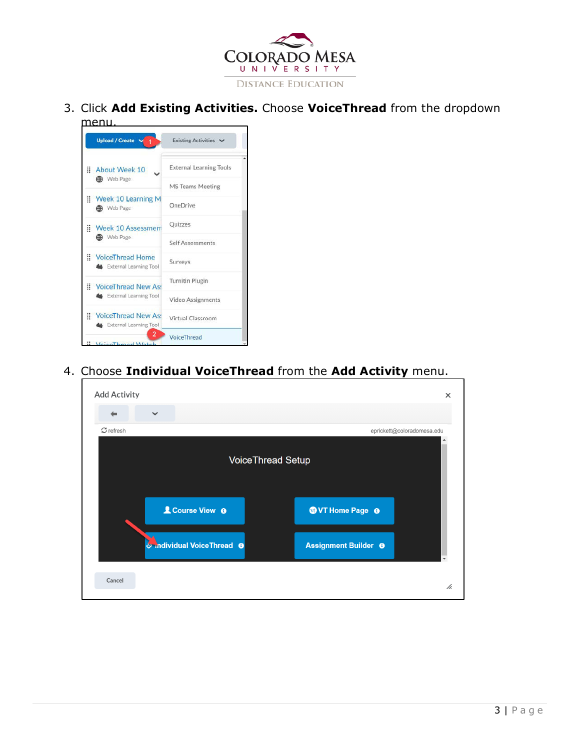

3. Click **Add Existing Activities.** Choose **VoiceThread** from the dropdown menu.

| <b>Upload / Create</b>                                              | Existing Activities V          |
|---------------------------------------------------------------------|--------------------------------|
| Ħ.<br>About Week 10                                                 | <b>External Learning Tools</b> |
| <b>OD</b> Web Page                                                  | <b>MS Teams Meeting</b>        |
| Week 10 Learning M<br><b>CO</b> Web Page                            | OneDrive                       |
| <b>Week 10 Assessment</b>                                           | Quizzes                        |
| <b>COD</b> Web Page                                                 | Self Assessments               |
| VoiceThread Home<br>External Learning Tool                          | Surveys                        |
| VoiceThread New As:                                                 | <b>Turnitin Plugin</b>         |
| <b>&amp;</b> External Learning Tool                                 | Video Assignments              |
| H.<br><b>VoiceThread New Ass</b><br><b>M</b> External Learning Tool | Virtual Classroom              |
| 2<br>InicoThroad Watch                                              | VoiceThread                    |

4. Choose **Individual VoiceThread** from the **Add Activity** menu.

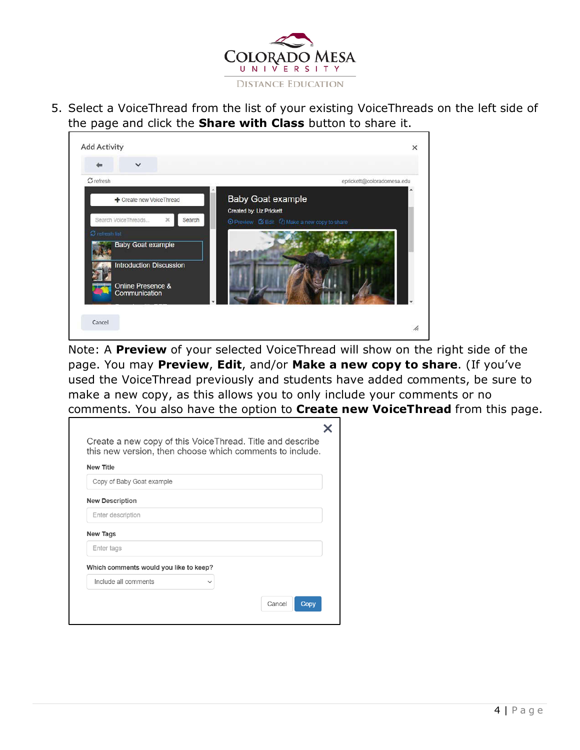

5. Select a VoiceThread from the list of your existing VoiceThreads on the left side of the page and click the **Share with Class** button to share it.



Note: A **Preview** of your selected VoiceThread will show on the right side of the page. You may **Preview**, **Edit**, and/or **Make a new copy to share**. (If you've used the VoiceThread previously and students have added comments, be sure to make a new copy, as this allows you to only include your comments or no comments. You also have the option to **Create new VoiceThread** from this page.

| <b>New Title</b>                       |             |  |
|----------------------------------------|-------------|--|
| Copy of Baby Goat example              |             |  |
| <b>New Description</b>                 |             |  |
| Enter description                      |             |  |
| New Tags                               |             |  |
| Enter tags                             |             |  |
| Which comments would you like to keep? |             |  |
| Include all comments                   | $\check{ }$ |  |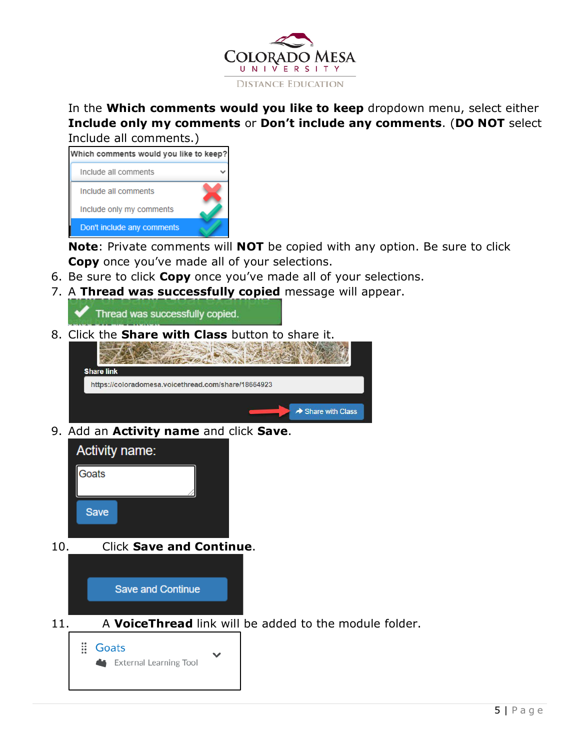

#### In the **Which comments would you like to keep** dropdown menu, select either **Include only my comments** or **Don't include any comments**. (**DO NOT** select Include all comments.)

| Which comments would you like to keep? |  |
|----------------------------------------|--|
| Include all comments                   |  |
| Include all comments                   |  |
| Include only my comments               |  |
| Don't include any comments             |  |

**Note**: Private comments will **NOT** be copied with any option. Be sure to click **Copy** once you've made all of your selections.

- 6. Be sure to click **Copy** once you've made all of your selections.
- 7. A **Thread was successfully copied** message will appear.

Thread was successfully copied.

8. Click the **Share with Class** button to share it.



9. Add an **Activity name** and click **Save**.



10. Click **Save and Continue**.



11. A **VoiceThread** link will be added to the module folder.

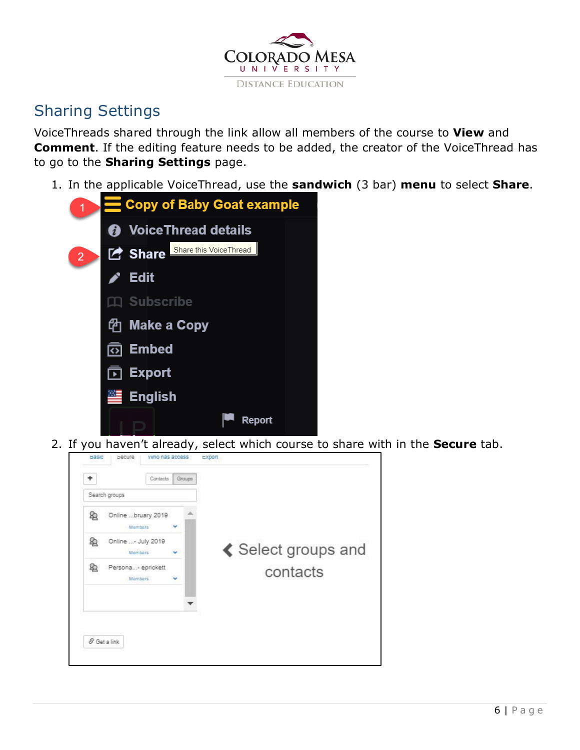

# <span id="page-5-0"></span>Sharing Settings

VoiceThreads shared through the link allow all members of the course to **View** and **Comment**. If the editing feature needs to be added, the creator of the VoiceThread has to go to the **Sharing Settings** page.

1. In the applicable VoiceThread, use the **sandwich** (3 bar) **menu** to select **Share**.

| 1              |               | Copy of Baby Goat example                |
|----------------|---------------|------------------------------------------|
|                |               | <b>@</b> VoiceThread details             |
| $\overline{2}$ |               | Share this VoiceThread<br><b>P</b> Share |
|                | $\rightarrow$ | <b>Edit</b>                              |
|                |               | $\Box$ Subscribe                         |
|                |               | <i></i> Make a Copy                      |
|                |               | তা Embed                                 |
|                |               | <b>⊡</b> Export                          |
|                | $\mathbb{Z}$  | <b>English</b>                           |
|                |               | Report                                   |

2. If you haven't already, select which course to share with in the **Secure** tab.

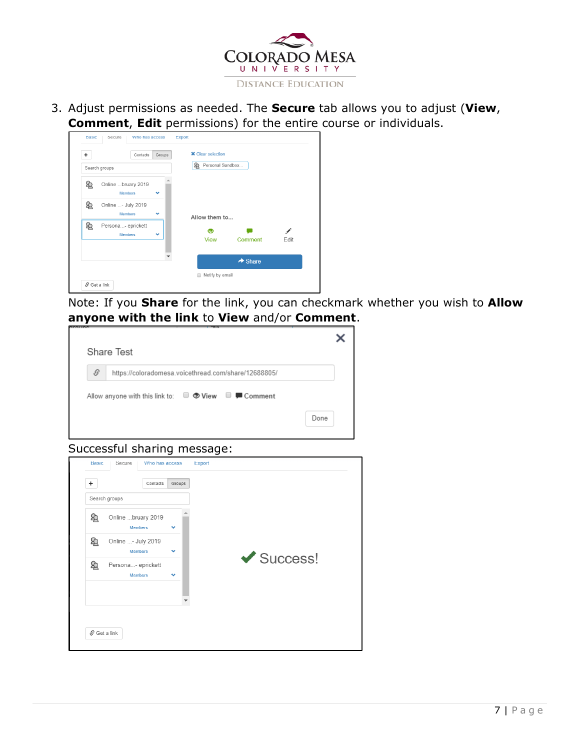

3. Adjust permissions as needed. The **Secure** tab allows you to adjust (**View**, **Comment**, **Edit** permissions) for the entire course or individuals.

| Search groups |                                      |   | Personal Sandbox<br>ぬ |                     |           |
|---------------|--------------------------------------|---|-----------------------|---------------------|-----------|
| ぬ             | Online bruary 2019<br><b>Members</b> | v |                       |                     |           |
| 8             | Online - July 2019<br><b>Members</b> | v | Allow them to         |                     |           |
| 奂             | Persona- eprickett<br><b>Members</b> | v | ◉<br><b>View</b>      | Comment             | ◢<br>Edit |
|               |                                      |   |                       | $\rightarrow$ Share |           |

Note: If you **Share** for the link, you can checkmark whether you wish to **Allow anyone with the link** to **View** and/or **Comment**.

|               | <b>Share Test</b>                                                                   |  |
|---------------|-------------------------------------------------------------------------------------|--|
| $\mathcal{S}$ | https://coloradomesa.voicethread.com/share/12688805/                                |  |
|               | Allow anyone with this link to: $\Box$ $\bullet$ View $\Box$ $\blacksquare$ Comment |  |
|               |                                                                                     |  |

#### Successful sharing message:

| Search groups  |                                      |              |                                |
|----------------|--------------------------------------|--------------|--------------------------------|
| $^{\circledR}$ | Online bruary 2019<br><b>Members</b> | $\checkmark$ |                                |
| ⊵              | Online - July 2019<br><b>Members</b> | $\checkmark$ |                                |
| $^{\circledR}$ | Persona- eprickett<br><b>Members</b> | $\checkmark$ | $\blacktriangleright$ Success! |
|                |                                      |              |                                |
|                |                                      |              |                                |